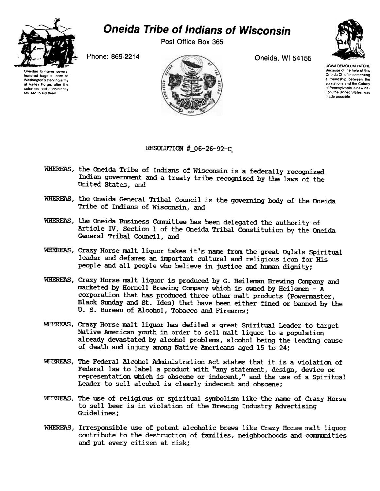

## Oneida Tribe of Indians of Wisconsin

Post Office Box 365

Phone: 869-2214 Oneida, WI 54155



UGWA DEMOLUM YATEHE Because of the help of this Oneida Chief in cementing a friendship between the six nations and the Colony of Pennsylvama. a new nation, the United States, was made possible



RESOLUTION # 06-26-92-C

- WHERFAS, the Oneida Tribe of Indians of Wisconsin is a federally recognized Indian government and a treaty tribe recognized by the laws of the United States, and
- WHEREAS, the Oneida General Tribal Council is the governing body of the Oneida Tribe of Indians of Wisconsin, and
- WHEREAS, the Oneida Business Committee has been delegated the authority of Article IV, Section 1 of the Oneida Tribal Constitution by the Oneida General Tribal Council, and
- WHEREAS, Crazy Horse malt liquor takes it's name from the great Oglala Spiritual leader and defames an important cultural and religious icon for His people and all people who believe in justice and hman dignity;
- WHEREAS, Crazy Horse malt liquor is produced by G. Heileman Brewing Company and marketed by Hornell Brewing Company which is owned by Heilemen -  $A$ corporation that has produced three other malt products (Powermaster, Black Sunday and St. Ides) that have been either fined or banned by the U. S. Bureau of Alcohol, Tobacco and Firearms:
- WHEREAS, Crazy Horse malt liquor has defiled a great Spiritual Leader to target Native American youth in order to sell malt liquor to a population already devastated by alcohol problems, alcohol being the leading cause of death and injury among Native Americans aged 15 to 24;
- WHEREAS, The Federal Alcohol Administration Act states that it is a violation of Federal law to label a product with "any statement, design, device or representation which is obscene or indecent," and the use of a Spiritual Leader to sell alcohol is clearly indecent and Obscene;
- WHEREAS, The use of religious or spiritual symbolism like the name of Crazy Horse to sell beer is in violation of the Brewing Industry Advertising Guidelines;
- WHEREAS, Irresponsible use of potent alcoholic brews like Crazy Horse malt liquor contribute to the destruction of families, neighborhoods and communities and put every citizen at risk;